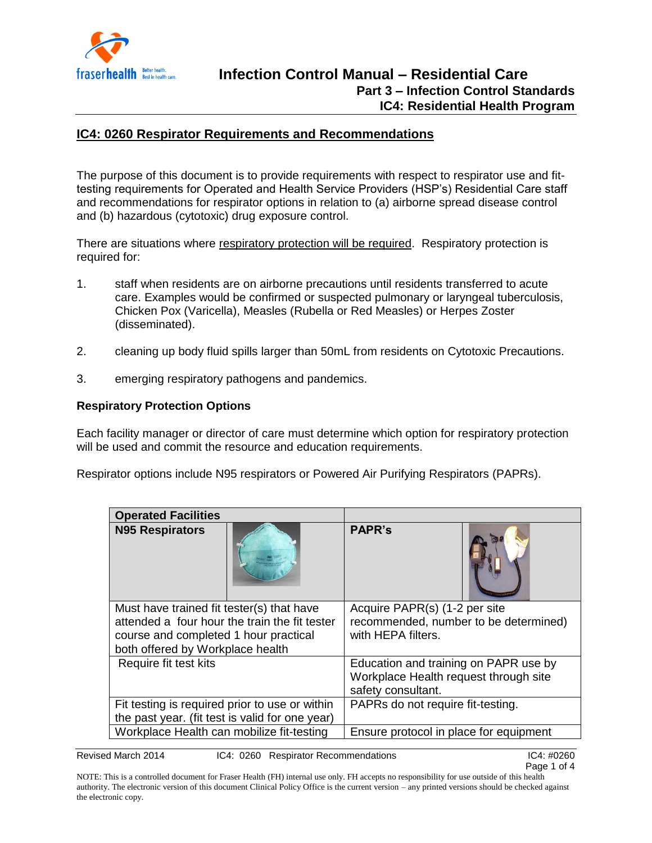

### **IC4: 0260 Respirator Requirements and Recommendations**

The purpose of this document is to provide requirements with respect to respirator use and fittesting requirements for Operated and Health Service Providers (HSP's) Residential Care staff and recommendations for respirator options in relation to (a) airborne spread disease control and (b) hazardous (cytotoxic) drug exposure control.

There are situations where respiratory protection will be required. Respiratory protection is required for:

- 1. staff when residents are on airborne precautions until residents transferred to acute care. Examples would be confirmed or suspected pulmonary or laryngeal tuberculosis, Chicken Pox (Varicella), Measles (Rubella or Red Measles) or Herpes Zoster (disseminated).
- 2. cleaning up body fluid spills larger than 50mL from residents on Cytotoxic Precautions.
- 3. emerging respiratory pathogens and pandemics.

#### **Respiratory Protection Options**

Each facility manager or director of care must determine which option for respiratory protection will be used and commit the resource and education requirements.

Respirator options include N95 respirators or Powered Air Purifying Respirators (PAPRs).

| <b>Operated Facilities</b>                      |                                        |
|-------------------------------------------------|----------------------------------------|
| <b>N95 Respirators</b>                          | <b>PAPR's</b>                          |
| Must have trained fit tester(s) that have       | Acquire PAPR(s) (1-2 per site          |
| attended a four hour the train the fit tester   | recommended, number to be determined)  |
| course and completed 1 hour practical           | with HEPA filters.                     |
| both offered by Workplace health                |                                        |
| Require fit test kits                           | Education and training on PAPR use by  |
|                                                 | Workplace Health request through site  |
|                                                 | safety consultant.                     |
| Fit testing is required prior to use or within  | PAPRs do not require fit-testing.      |
| the past year. (fit test is valid for one year) |                                        |
| Workplace Health can mobilize fit-testing       | Ensure protocol in place for equipment |

Revised March 2014 IC4: 0260 Respirator Recommendations IC4: #0260 IC4: #0260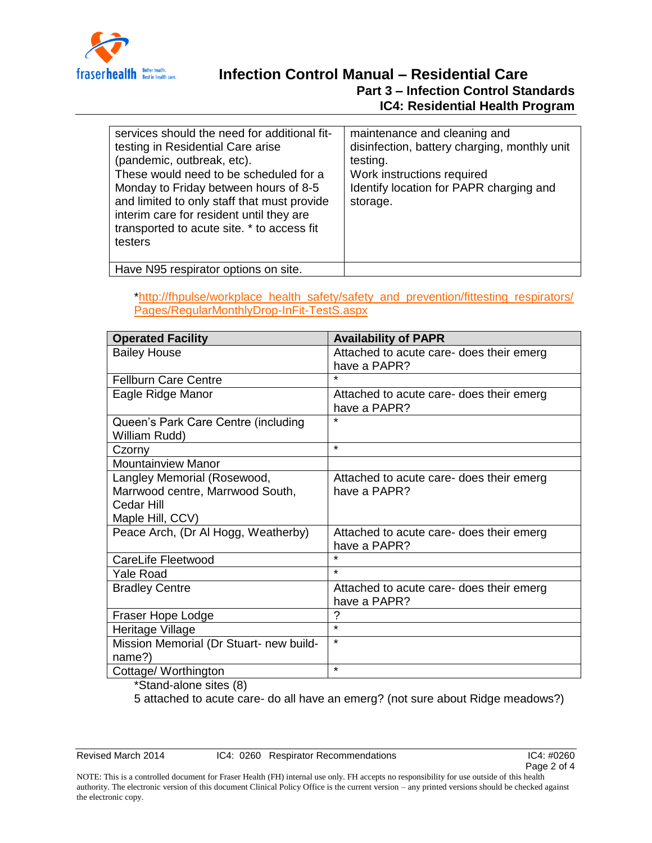

# **Infection Control Manual – Residential Care**

#### **Part 3 – Infection Control Standards IC4: Residential Health Program**

| services should the need for additional fit-<br>testing in Residential Care arise<br>(pandemic, outbreak, etc).<br>These would need to be scheduled for a<br>Monday to Friday between hours of 8-5<br>and limited to only staff that must provide<br>interim care for resident until they are<br>transported to acute site. * to access fit<br>testers | maintenance and cleaning and<br>disinfection, battery charging, monthly unit<br>testing.<br>Work instructions required<br>Identify location for PAPR charging and<br>storage. |
|--------------------------------------------------------------------------------------------------------------------------------------------------------------------------------------------------------------------------------------------------------------------------------------------------------------------------------------------------------|-------------------------------------------------------------------------------------------------------------------------------------------------------------------------------|
| Have N95 respirator options on site.                                                                                                                                                                                                                                                                                                                   |                                                                                                                                                                               |

[\\*http://fhpulse/workplace\\_health\\_safety/safety\\_and\\_prevention/fittesting\\_respirators/](http://fhpulse/workplace_health_safety/safety_and_prevention/fittesting_respirators/Pages/RegularMonthlyDrop-InFit-TestS.aspx) [Pages/RegularMonthlyDrop-InFit-TestS.aspx](http://fhpulse/workplace_health_safety/safety_and_prevention/fittesting_respirators/Pages/RegularMonthlyDrop-InFit-TestS.aspx)

| <b>Operated Facility</b>                                                                          | <b>Availability of PAPR</b>                              |
|---------------------------------------------------------------------------------------------------|----------------------------------------------------------|
| <b>Bailey House</b>                                                                               | Attached to acute care- does their emerg<br>have a PAPR? |
| <b>Fellburn Care Centre</b>                                                                       | $\star$                                                  |
| Eagle Ridge Manor                                                                                 | Attached to acute care- does their emerg<br>have a PAPR? |
| Queen's Park Care Centre (including<br>William Rudd)                                              | $\star$                                                  |
| Czorny                                                                                            | $\star$                                                  |
| <b>Mountainview Manor</b>                                                                         |                                                          |
| Langley Memorial (Rosewood,<br>Marrwood centre, Marrwood South,<br>Cedar Hill<br>Maple Hill, CCV) | Attached to acute care- does their emerg<br>have a PAPR? |
| Peace Arch, (Dr Al Hogg, Weatherby)                                                               | Attached to acute care- does their emerg<br>have a PAPR? |
| CareLife Fleetwood                                                                                | $\star$                                                  |
| <b>Yale Road</b>                                                                                  | $\star$                                                  |
| <b>Bradley Centre</b>                                                                             | Attached to acute care- does their emerg<br>have a PAPR? |
| Fraser Hope Lodge                                                                                 | ?                                                        |
| Heritage Village                                                                                  | $\star$                                                  |
| Mission Memorial (Dr Stuart- new build-<br>name?)                                                 | $\star$                                                  |
| Cottage/ Worthington                                                                              | $\star$                                                  |

\*Stand-alone sites (8)

5 attached to acute care- do all have an emerg? (not sure about Ridge meadows?)

Revised March 2014 IC4: 0260 Respirator Recommendations IC4: #0260 IC4: #0260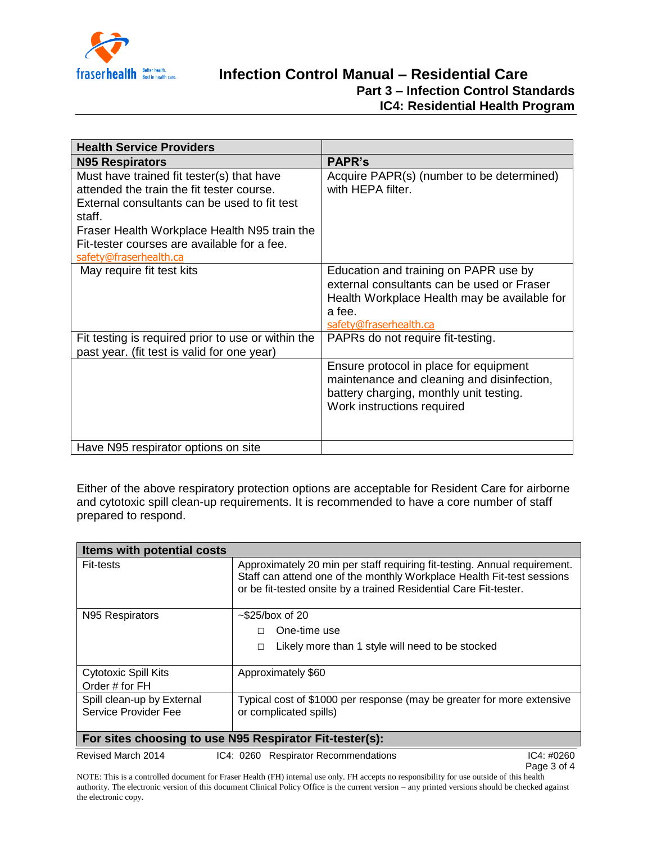

## **Infection Control Manual – Residential Care Part 3 – Infection Control Standards IC4: Residential Health Program**

| <b>Health Service Providers</b>                                                                                                                                                                                                                                           |                                                                                                                                                                         |
|---------------------------------------------------------------------------------------------------------------------------------------------------------------------------------------------------------------------------------------------------------------------------|-------------------------------------------------------------------------------------------------------------------------------------------------------------------------|
| <b>N95 Respirators</b>                                                                                                                                                                                                                                                    | <b>PAPR's</b>                                                                                                                                                           |
| Must have trained fit tester(s) that have<br>attended the train the fit tester course.<br>External consultants can be used to fit test<br>staff.<br>Fraser Health Workplace Health N95 train the<br>Fit-tester courses are available for a fee.<br>safety@fraserhealth.ca | Acquire PAPR(s) (number to be determined)<br>with HEPA filter.                                                                                                          |
| May require fit test kits                                                                                                                                                                                                                                                 | Education and training on PAPR use by<br>external consultants can be used or Fraser<br>Health Workplace Health may be available for<br>a fee.<br>safety@fraserhealth.ca |
| Fit testing is required prior to use or within the<br>past year. (fit test is valid for one year)                                                                                                                                                                         | PAPRs do not require fit-testing.                                                                                                                                       |
|                                                                                                                                                                                                                                                                           | Ensure protocol in place for equipment<br>maintenance and cleaning and disinfection,<br>battery charging, monthly unit testing.<br>Work instructions required           |
| Have N95 respirator options on site                                                                                                                                                                                                                                       |                                                                                                                                                                         |

Either of the above respiratory protection options are acceptable for Resident Care for airborne and cytotoxic spill clean-up requirements. It is recommended to have a core number of staff prepared to respond.

| Items with potential costs                              |                                                                                                                                                                                                                          |  |
|---------------------------------------------------------|--------------------------------------------------------------------------------------------------------------------------------------------------------------------------------------------------------------------------|--|
| <b>Fit-tests</b>                                        | Approximately 20 min per staff requiring fit-testing. Annual requirement.<br>Staff can attend one of the monthly Workplace Health Fit-test sessions<br>or be fit-tested onsite by a trained Residential Care Fit-tester. |  |
| N95 Respirators                                         | $\sim$ \$25/box of 20                                                                                                                                                                                                    |  |
|                                                         | One-time use                                                                                                                                                                                                             |  |
|                                                         | Likely more than 1 style will need to be stocked<br>□                                                                                                                                                                    |  |
| <b>Cytotoxic Spill Kits</b>                             | Approximately \$60                                                                                                                                                                                                       |  |
| Order # for FH                                          |                                                                                                                                                                                                                          |  |
| Spill clean-up by External                              | Typical cost of \$1000 per response (may be greater for more extensive                                                                                                                                                   |  |
| Service Provider Fee                                    | or complicated spills)                                                                                                                                                                                                   |  |
| For sites choosing to use N95 Respirator Fit-tester(s): |                                                                                                                                                                                                                          |  |
| Revised March 2014                                      | IC4: #0260<br>IC4: 0260 Respirator Recommendations                                                                                                                                                                       |  |